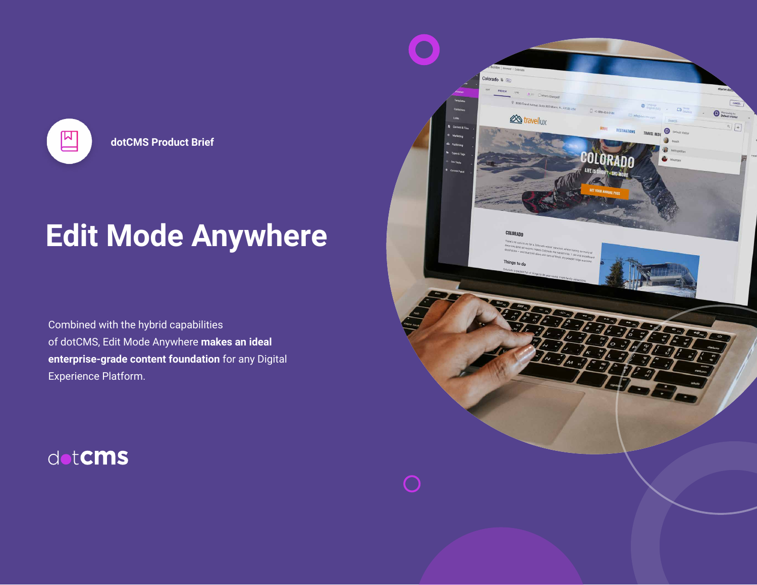

**dotCMS Product Brief**

# **Edit Mode Anywhere**

Combined with the hybrid capabilities of dotCMS, Edit Mode Anywhere **makes an ideal enterprise-grade content foundation** for any Digital Experience Platform.

dotCMS

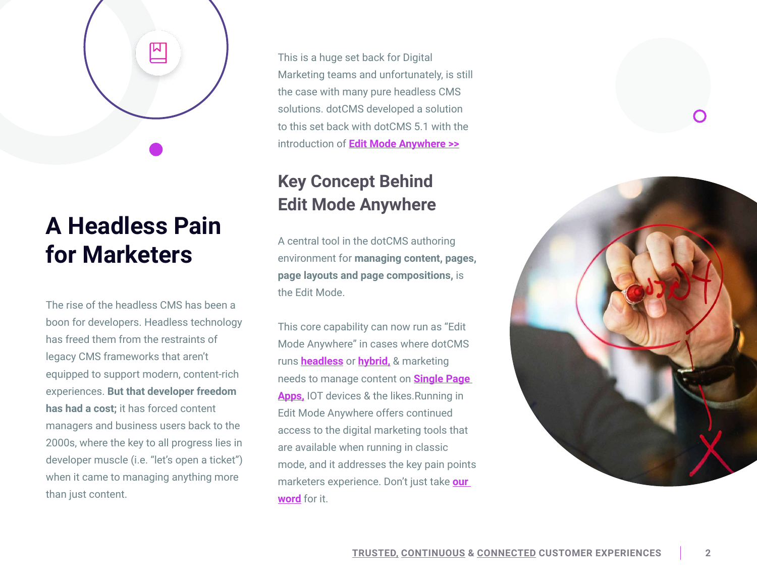

## **A Headless Pain for Marketers**

The rise of the headless CMS has been a boon for developers. Headless technology has freed them from the restraints of legacy CMS frameworks that aren't equipped to support modern, content-rich experiences. **But that developer freedom has had a cost;** it has forced content managers and business users back to the 2000s, where the key to all progress lies in developer muscle (i.e. "let's open a ticket") when it came to managing anything more than just content.

This is a huge set back for Digital Marketing teams and unfortunately, is still the case with many pure headless CMS solutions. dotCMS developed a solution to this set back with dotCMS 5.1 with the introduction of **[Edit Mode Anywhere](https://www.youtube.com/watch?v=8JhoHHtcj6g&feature=youtu.be) >>**

#### **Key Concept Behind Edit Mode Anywhere**

A central tool in the dotCMS authoring environment for **managing content, pages, page layouts and page compositions,** is the Edit Mode.

This core capability can now run as "Edit Mode Anywhere" in cases where dotCMS runs **[headless](https://cdn2.hubspot.net/hubfs/2389934/Product-Brief/Headless-CMS-Product-Brief.pdf)** or **[hybrid,](https://cdn2.hubspot.net/hubfs/2389934/eBooks/Hybrid-CMS.pdf)** & marketing needs to manage content on **[Single Page](https://cdn2.hubspot.net/hubfs/2389934/eBooks/Single-Page-Apps-White-Paper-dotCMS.pdf)  [Apps,](https://cdn2.hubspot.net/hubfs/2389934/eBooks/Single-Page-Apps-White-Paper-dotCMS.pdf)** IOT devices & the likes.Running in Edit Mode Anywhere offers continued access to the digital marketing tools that are available when running in classic mode, and it addresses the key pain points marketers experience. Don't just take **[our](https://www.youtube.com/watch?v=Vqkj5FN8auo&feature=youtu.be)  [word](https://www.youtube.com/watch?v=Vqkj5FN8auo&feature=youtu.be)** for it.

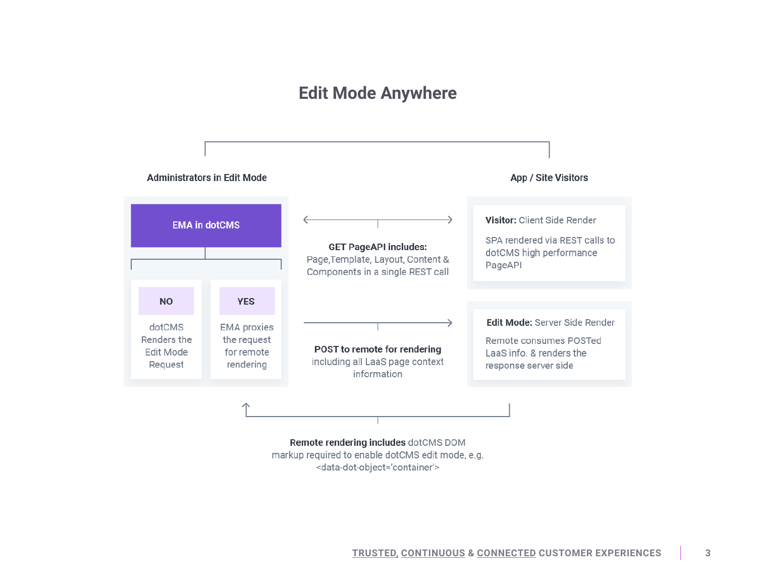#### **Edit Mode Anywhere**



Remote rendering includes dotCMS DOM markup required to enable dotCMS edit mode, e.g. <data-dot-object='container'>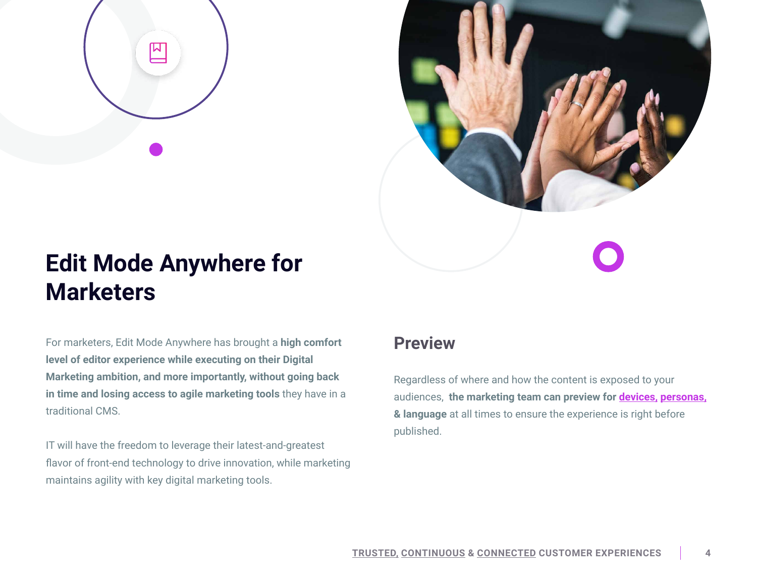



## **Edit Mode Anywhere for Marketers**

For marketers, Edit Mode Anywhere has brought a **high comfort level of editor experience while executing on their Digital Marketing ambition, and more importantly, without going back in time and losing access to agile marketing tools** they have in a traditional CMS.

IT will have the freedom to leverage their latest-and-greatest flavor of front-end technology to drive innovation, while marketing maintains agility with key digital marketing tools.

#### **Preview**

Regardless of where and how the content is exposed to your audiences, **the marketing team can preview for [devices,](https://www.youtube.com/watch?v=sl5z_ZytHyA&feature=youtu.be) [personas,](https://www.youtube.com/watch?v=sl5z_ZytHyA&feature=youtu.be) & language** at all times to ensure the experience is right before published.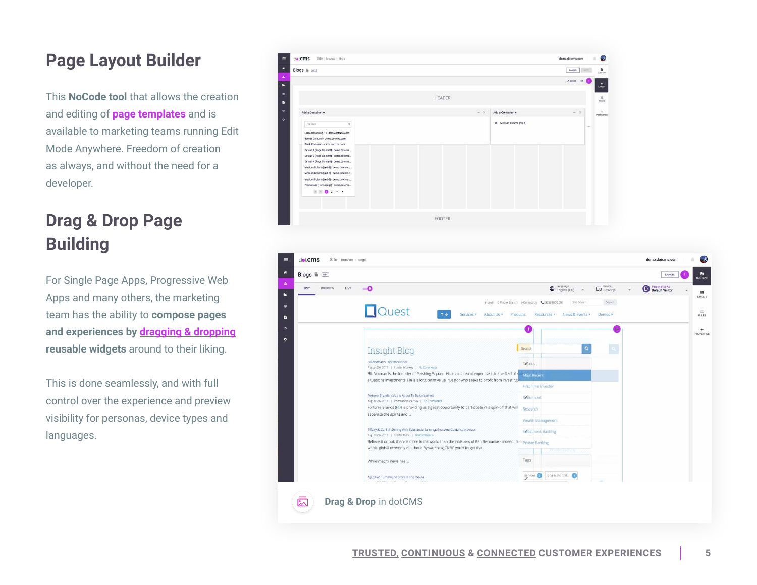#### **Page Layout Builder**

This **NoCode tool** that allows the creation and editing of **[page templates](https://www.youtube.com/watch?v=OYabBIHD4NA&feature=youtu.be)** and is available to marketing teams running Edit Mode Anywhere. Freedom of creation as always, and without the need for a developer.

### **Drag & Drop Page Building**

For Single Page Apps, Progressive Web Apps and many others, the marketing team has the ability to **compose pages and experiences by [dragging & dropping](https://www.youtube.com/watch?v=m3i2p579i2Y&feature=youtu.be) reusable widgets** around to their liking.

This is done seamlessly, and with full control over the experience and preview visibility for personas, device types and languages.



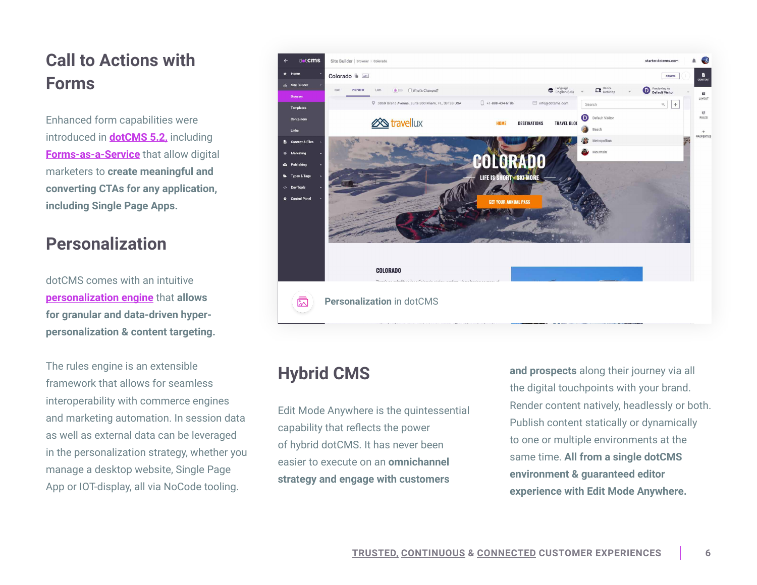#### **Call to Actions with Forms**

Enhanced form capabilities were introduced in **[dotCMS 5.2,](https://dotcms.com/reports/whats-new-in-dotcms-5-2)** including **[Forms-as-a-Service](https://www.youtube.com/embed/NahHebgvBfw)** that allow digital marketers to **create meaningful and converting CTAs for any application, including Single Page Apps.** 

#### **Personalization**

dotCMS comes with an intuitive **[personalization engine](https://www.youtube.com/embed/wLw9BhZMAsw)** that **allows for granular and data-driven hyperpersonalization & content targeting.**

The rules engine is an extensible framework that allows for seamless interoperability with commerce engines and marketing automation. In session data as well as external data can be leveraged in the personalization strategy, whether you manage a desktop website, Single Page App or IOT-display, all via NoCode tooling.



#### **Hybrid CMS**

Edit Mode Anywhere is the quintessential capability that reflects the power of hybrid dotCMS. It has never been easier to execute on an **omnichannel strategy and engage with customers** 

**and prospects** along their journey via all the digital touchpoints with your brand. Render content natively, headlessly or both. Publish content statically or dynamically to one or multiple environments at the same time. **All from a single dotCMS environment & guaranteed editor experience with Edit Mode Anywhere.**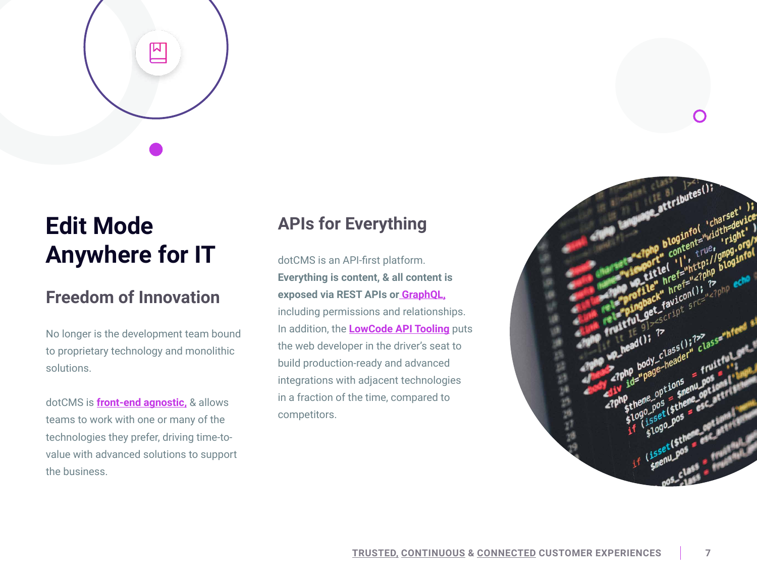

## **Edit Mode Anywhere for IT**

#### **Freedom of Innovation**

No longer is the development team bound to proprietary technology and monolithic solutions.

dotCMS is **[front-end agnostic,](https://cdn2.hubspot.net/hubfs/2389934/Product-Brief/Headless-CMS-Product-Brief.pdf)** & allows teams to work with one or many of the technologies they prefer, driving time-tovalue with advanced solutions to support the business.

#### **APIs for Everything**

dotCMS is an API-first platform. **Everything is content, & all content is exposed via REST APIs or [GraphQL,](https://www.youtube.com/watch?v=p72nCOUoQcQ&feature=youtu.be)** including permissions and relationships. In addition, the **[LowCode API Tooling](https://www.youtube.com/watch?v=CAz_XjZ1lU8&feature=youtu.be)** puts the web developer in the driver's seat to build production-ready and advanced integrations with adjacent technologies in a fraction of the time, compared to competitors.

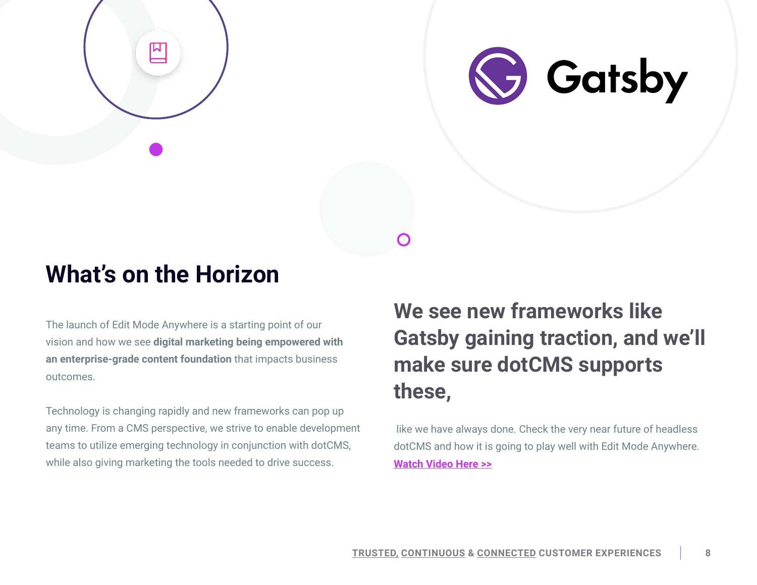



## **What's on the Horizon**

The launch of Edit Mode Anywhere is a starting point of our vision and how we see **digital marketing being empowered with an enterprise-grade content foundation** that impacts business outcomes.

Technology is changing rapidly and new frameworks can pop up any time. From a CMS perspective, we strive to enable development teams to utilize emerging technology in conjunction with dotCMS, while also giving marketing the tools needed to drive success.

## **We see new frameworks like Gatsby gaining traction, and we'll make sure dotCMS supports these,**

 like we have always done. Check the very near future of headless dotCMS and how it is going to play well with Edit Mode Anywhere. **[Watch Video Here >>](https://www.youtube.com/watch?v=a9ASVbP8eFE&feature=youtu.be)**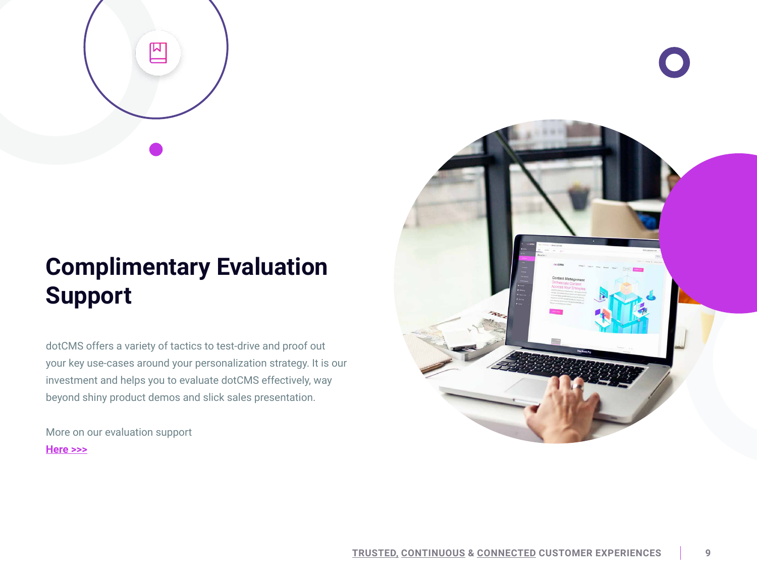

## **Complimentary Evaluation Support**

dotCMS offers a variety of tactics to test-drive and proof out your key use-cases around your personalization strategy. It is our investment and helps you to evaluate dotCMS effectively, way beyond shiny product demos and slick sales presentation.

More on our evaluation support **H[ere >>>](https://dotcms.com/cms-evaluation/)**